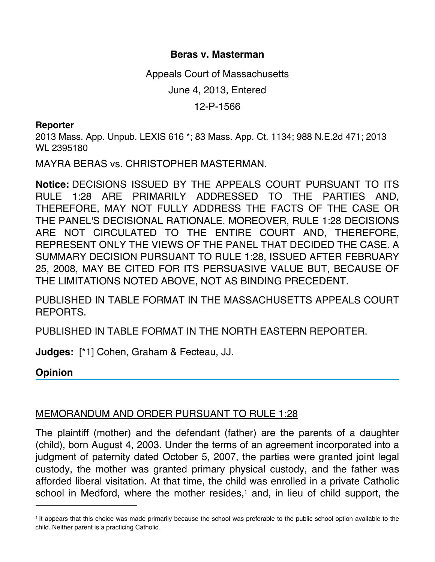## **Beras v. Masterman**

Appeals Court of Massachusetts

June 4, 2013, Entered

12-P-1566

## **Reporter**

2013 Mass. App. Unpub. LEXIS 616 \*; 83 Mass. App. Ct. 1134; 988 N.E.2d 471; 2013 WL 2395180

MAYRA BERAS vs. CHRISTOPHER MASTERMAN.

**Notice:** DECISIONS ISSUED BY THE APPEALS COURT PURSUANT TO ITS RULE 1:28 ARE PRIMARILY ADDRESSED TO THE PARTIES AND, THEREFORE, MAY NOT FULLY ADDRESS THE FACTS OF THE CASE OR THE PANEL'S DECISIONAL RATIONALE. MOREOVER, RULE 1:28 DECISIONS ARE NOT CIRCULATED TO THE ENTIRE COURT AND, THEREFORE, REPRESENT ONLY THE VIEWS OF THE PANEL THAT DECIDED THE CASE. A SUMMARY DECISION PURSUANT TO RULE 1:28, ISSUED AFTER FEBRUARY 25, 2008, MAY BE CITED FOR ITS PERSUASIVE VALUE BUT, BECAUSE OF THE LIMITATIONS NOTED ABOVE, NOT AS BINDING PRECEDENT.

PUBLISHED IN TABLE FORMAT IN THE MASSACHUSETTS APPEALS COURT REPORTS.

PUBLISHED IN TABLE FORMAT IN THE NORTH EASTERN REPORTER.

**Judges:** [\*1] Cohen, Graham & Fecteau, JJ.

**Opinion**

## MEMORANDUM AND ORDER PURSUANT TO RULE 1:28

The plaintiff (mother) and the defendant (father) are the parents of a daughter (child), born August 4, 2003. Under the terms of an agreement incorporated into a judgment of paternity dated October 5, 2007, the parties were granted joint legal custody, the mother was granted primary physical custody, and the father was afforded liberal visitation. At that time, the child was enrolled in a private Catholic school in Medford, where the mother resides,<sup>1</sup> and, in lieu of child support, the

<sup>1</sup> It appears that this choice was made primarily because the school was preferable to the public school option available to the child. Neither parent is a practicing Catholic.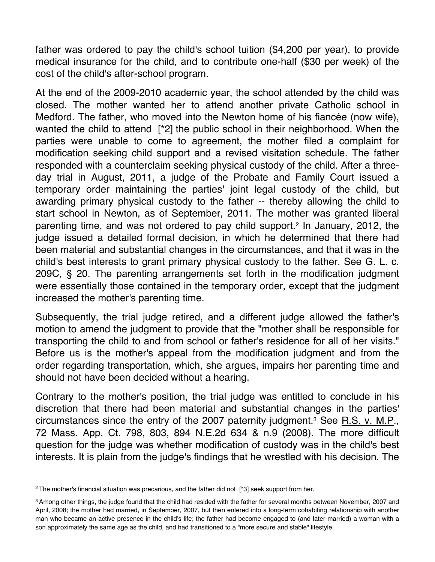father was ordered to pay the child's school tuition (\$4,200 per year), to provide medical insurance for the child, and to contribute one-half (\$30 per week) of the cost of the child's after-school program.

At the end of the 2009-2010 academic year, the school attended by the child was closed. The mother wanted her to attend another private Catholic school in Medford. The father, who moved into the Newton home of his fiancée (now wife), wanted the child to attend [\*2] the public school in their neighborhood. When the parties were unable to come to agreement, the mother filed a complaint for modification seeking child support and a revised visitation schedule. The father responded with a counterclaim seeking physical custody of the child. After a threeday trial in August, 2011, a judge of the Probate and Family Court issued a temporary order maintaining the parties' joint legal custody of the child, but awarding primary physical custody to the father -- thereby allowing the child to start school in Newton, as of September, 2011. The mother was granted liberal parenting time, and was not ordered to pay child support.2 In January, 2012, the judge issued a detailed formal decision, in which he determined that there had been material and substantial changes in the circumstances, and that it was in the child's best interests to grant primary physical custody to the father. See G. L. c. 209C, § 20. The parenting arrangements set forth in the modification judgment were essentially those contained in the temporary order, except that the judgment increased the mother's parenting time.

Subsequently, the trial judge retired, and a different judge allowed the father's motion to amend the judgment to provide that the "mother shall be responsible for transporting the child to and from school or father's residence for all of her visits." Before us is the mother's appeal from the modification judgment and from the order regarding transportation, which, she argues, impairs her parenting time and should not have been decided without a hearing.

Contrary to the mother's position, the trial judge was entitled to conclude in his discretion that there had been material and substantial changes in the parties' circumstances since the entry of the 2007 paternity judgment.3 See R.S. v. M.P., 72 Mass. App. Ct. 798, 803, 894 N.E.2d 634 & n.9 (2008). The more difficult question for the judge was whether modification of custody was in the child's best interests. It is plain from the judge's findings that he wrestled with his decision. The

<sup>&</sup>lt;sup>2</sup> The mother's financial situation was precarious, and the father did not [\*3] seek support from her.

<sup>3</sup> Among other things, the judge found that the child had resided with the father for several months between November, 2007 and April, 2008; the mother had married, in September, 2007, but then entered into a long-term cohabiting relationship with another man who became an active presence in the child's life; the father had become engaged to (and later married) a woman with a son approximately the same age as the child, and had transitioned to a "more secure and stable" lifestyle.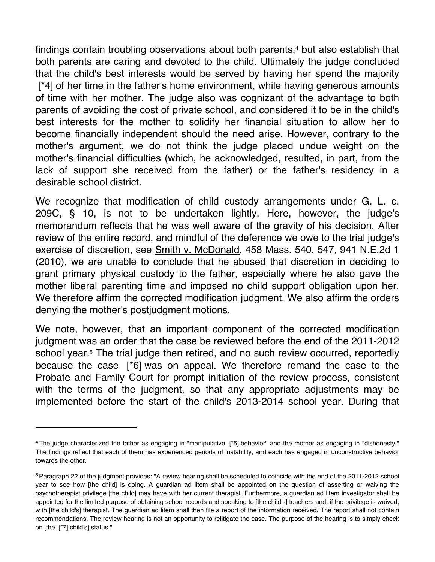findings contain troubling observations about both parents,<sup>4</sup> but also establish that both parents are caring and devoted to the child. Ultimately the judge concluded that the child's best interests would be served by having her spend the majority [\*4] of her time in the father's home environment, while having generous amounts of time with her mother. The judge also was cognizant of the advantage to both parents of avoiding the cost of private school, and considered it to be in the child's best interests for the mother to solidify her financial situation to allow her to become financially independent should the need arise. However, contrary to the mother's argument, we do not think the judge placed undue weight on the mother's financial difficulties (which, he acknowledged, resulted, in part, from the lack of support she received from the father) or the father's residency in a desirable school district.

We recognize that modification of child custody arrangements under G. L. c. 209C, § 10, is not to be undertaken lightly. Here, however, the judge's memorandum reflects that he was well aware of the gravity of his decision. After review of the entire record, and mindful of the deference we owe to the trial judge's exercise of discretion, see Smith v. McDonald, 458 Mass. 540, 547, 941 N.E.2d 1 (2010), we are unable to conclude that he abused that discretion in deciding to grant primary physical custody to the father, especially where he also gave the mother liberal parenting time and imposed no child support obligation upon her. We therefore affirm the corrected modification judgment. We also affirm the orders denying the mother's postjudgment motions.

We note, however, that an important component of the corrected modification judgment was an order that the case be reviewed before the end of the 2011-2012 school year.<sup>5</sup> The trial judge then retired, and no such review occurred, reportedly because the case [\*6] was on appeal. We therefore remand the case to the Probate and Family Court for prompt initiation of the review process, consistent with the terms of the judgment, so that any appropriate adjustments may be implemented before the start of the child's 2013-2014 school year. During that

<sup>4</sup> The judge characterized the father as engaging in "manipulative [\*5] behavior" and the mother as engaging in "dishonesty." The findings reflect that each of them has experienced periods of instability, and each has engaged in unconstructive behavior towards the other.

<sup>5</sup> Paragraph 22 of the judgment provides: "A review hearing shall be scheduled to coincide with the end of the 2011-2012 school year to see how [the child] is doing. A guardian ad litem shall be appointed on the question of asserting or waiving the psychotherapist privilege [the child] may have with her current therapist. Furthermore, a guardian ad litem investigator shall be appointed for the limited purpose of obtaining school records and speaking to [the child's] teachers and, if the privilege is waived, with [the child's] therapist. The guardian ad litem shall then file a report of the information received. The report shall not contain recommendations. The review hearing is not an opportunity to relitigate the case. The purpose of the hearing is to simply check on [the [\*7] child's] status."